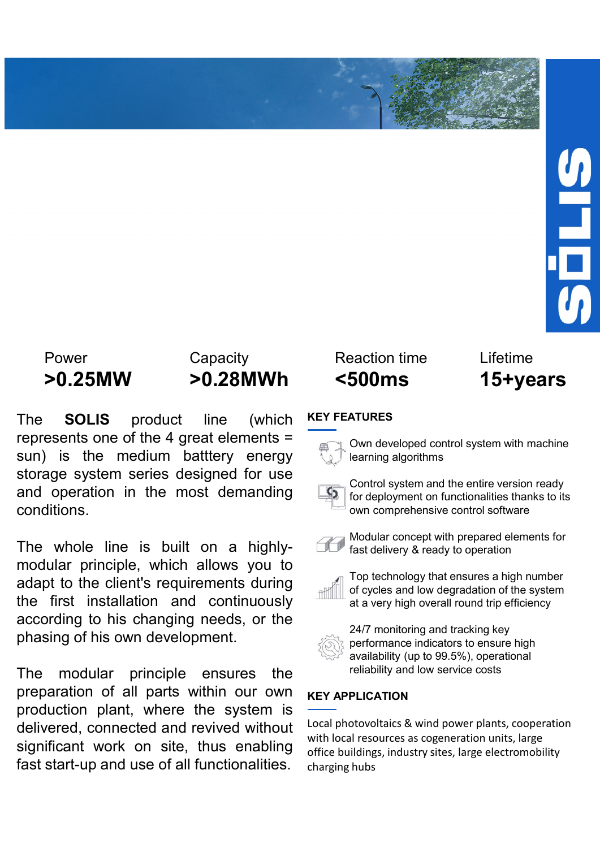Power Capacity Reaction time Lifetime<br> **The SOLIS product line (which KEY FEATURES**<br>
The SOLIS product line (which KEY FEATURES<br>
represents one of the 4 great elements = (b) and developed control system with machine<br>
stora Power Capacity Reaction time Lifetime<br> **PO.25MW > 0.28MWh <500ms 15+years**<br>
The SOLIS product line (which KEY FEATURES<br>
The SOLIS product line (which KEY FEATURES<br>
Sum) is the medium battery energy energy algorithms<br>
stora Power<br>
Power Capacity Reaction time Lifetime<br> **SOLIS** product line (which KEY FEATURES<br>
The SOLIS product line (which KEY FEATURES<br>
sun) is the medium batttery energy energy algorithms<br>
storage system series designed for u France over Capacity<br> **Storage system Solution** Solution interesting the storage system series designed for use<br>
Storage system series designed for use<br>
Storage system series designed for use<br>
and operation in the most dem Power Capacity Reaction time Lifetime<br> **b.25MW >0.28MWh** <500ms 15+yea<br>
The SOLIS product line (which KEY FEATURES<br>
represents one of the 4 great elements =<br>
sun) is the medium battery energy<br>
storage system series designe conditions. Fower Capacity Reaction time Lifetime<br>  $\triangleright$  **O.25MW**  $\triangleright$  **C.28MWh**  $\cdot$  500ms  $\cdot$  15+years<br>
The SOLIS product line (which  $\frac{\text{KEY FEATURES}}{\text{learning algorithms}}$ <br>
stronge system series designed for use<br>
stronge system series designed fo For exaction time to the three measurements of the first installation and continuously according to his changing needs, or the main equal operation is the first installation and continuously according to his changing need For the clienting of this conditions and the clienting of this own development.<br>
The solution of the digreat elements of the client of explicitions of the client of explicitions.<br>
The whole line is built on a highly-<br>
The For exaction time  $\begin{array}{l|l}\n\hline\n\end{array}$  For exaction time  $\begin{array}{l|l}\n\hline\n\end{array}$  For exaction and control system with m<br>
The SOLIS product line (which KEYFEATURES<br>
represents one of the 4 great elements =<br>
star, is the med **Example 1999 Example 1999 Example 1999 Example 1999 Example 1999 Example 1999 Example 1999 Example 1999 Example 1999 Example 1999 Example 1999 Example 1999 Example 1999 Example 1999 Example 19 PU.25MW POL26MWIN** SUUDIMENT CONTINUES THE SOLIS product line (which KEY FEATURES<br>
sum) is the medium battlery energy stem series designed for use<br>
storage system series designed for use<br>
and operation in the most demand The **SOLIS** product line (which  $\overline{\text{K}P}$  represents one of the 4 great elements  $\overline{\text{S}^{\text{m}}}$  control system and the entire version ready<br>
storage system series designed for use<br>
and operation in the most demanding

prepresents one of the 4 great elements =<br>
sun) is the medium batttery energy<br>
storage system series designed for use<br>
and operation in the most demanding<br>
and operation in the most demanding<br>
and operation in the most dem

stand operation in the modular principle ensures the and photovoltaics and poetaring algorithms<br>
storage system series designed for use<br>
conditions.<br>
Control system and the entire version ready<br>
conditions conditions cond Storage system series designed for use<br>
and operation in the most demanding<br>
Control system and the entire version ready<br>
conditions.<br>
The whole line is built on a highly-<br>
Mast delivery & ready to operation<br>
modular princ and operation in the most demanding<br>
conditions.<br>
Conditions.<br>
The whole line is built on a highly-<br>
Modular concept with prepared elements for<br>
modular principle, which allows you to<br>
adapt to the client's requirements du conditions.<br>
The whole line is built on a highly-<br>
modular principle, which allows you to<br>
adapt to the client's requirements during<br>
the first installation and continuously<br>
the first installation and continuously<br>
the fi

# KEY FEATURES





Exercise the entire the state of the state of the state of the state of the start of the start of the start of the start of the start of the start of the start of the start of the start of the start of the start of the sta Control system and the entire version ready for deployment on functionalities thanks to its own comprehensive control software eaction time<br>
Soloms<br>
Modular control system with machine<br>
Nown developed control system with machine<br>
learning algorithms<br>
Control system and the entire version ready<br>
for deployment on functionalities thanks to its<br>
own





Exercise on time<br> **Faction deliver on the SOOMS**<br> **Faction SNOMS**<br> **Faction developed control system with machine**<br> **Control system and the entire version ready**<br>
for deployment on functionalities thanks to its<br>
own compre Top technology that ensures a high number of cycles and low degradation of the system **Exercise 15 Community Community 15 Community SOOMS**<br> **ATURES**<br>
Control system and the entire version ready<br>
for deployment on functionalities thanks to its<br>
own comprehensive control software<br>
Modular concept with prepare



24/7 monitoring and tracking key performance indicators to ensure high availability (up to 99.5%), operational reliability and low service costs

# KEY APPLICATION

Control system and the entire version ready<br>for deployment on functionalities thanks to its<br>own comprehensive control software<br>Modular concept with prepared elements for<br>fast delivery & ready to operation<br>Top technology th For deployment on functionalities thanks to its<br>for deployment on functionalities thanks to its<br>fown comprehensive control software<br>Modular concept with prepared elements for<br>fast delivery & ready to operation<br>of the syste For applyment of tank control software<br>own comprehensive control software<br>own comprehensive control software<br>for fast delivery & ready to operation<br>of fast delivery & ready to operation<br>of the system<br>at a very high overall Modular concept with prepared elements for<br>
fast delivery & ready to operation<br>
Top technology that ensures a high number<br>
of cycles and low degradation of the system<br>
at a very high overall round trip efficiency<br>
24/7 mon